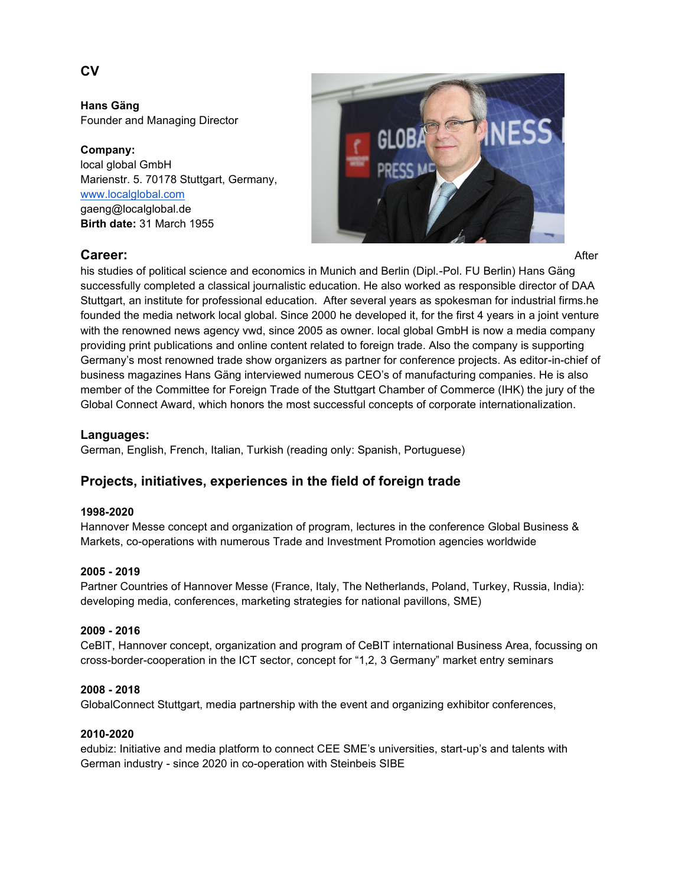**Hans Gäng** Founder and Managing Director

**Company:** local global GmbH Marienstr. 5. 70178 Stuttgart, Germany, [www.localglobal.com](http://www.localglobal.com/) gaeng@localglobal.de **Birth date:** 31 March 1955



his studies of political science and economics in Munich and Berlin (Dipl.-Pol. FU Berlin) Hans Gäng successfully completed a classical journalistic education. He also worked as responsible director of DAA Stuttgart, an institute for professional education. After several years as spokesman for industrial firms.he founded the media network local global. Since 2000 he developed it, for the first 4 years in a joint venture with the renowned news agency vwd, since 2005 as owner. local global GmbH is now a media company providing print publications and online content related to foreign trade. Also the company is supporting Germany's most renowned trade show organizers as partner for conference projects. As editor-in-chief of business magazines Hans Gäng interviewed numerous CEO's of manufacturing companies. He is also member of the Committee for Foreign Trade of the Stuttgart Chamber of Commerce (IHK) the jury of the Global Connect Award, which honors the most successful concepts of corporate internationalization.

# **Languages:**

German, English, French, Italian, Turkish (reading only: Spanish, Portuguese)

# **Projects, initiatives, experiences in the field of foreign trade**

## **1998-2020**

Hannover Messe concept and organization of program, lectures in the conference Global Business & Markets, co-operations with numerous Trade and Investment Promotion agencies worldwide

## **2005 - 2019**

Partner Countries of Hannover Messe (France, Italy, The Netherlands, Poland, Turkey, Russia, India): developing media, conferences, marketing strategies for national pavillons, SME)

## **2009 - 2016**

CeBIT, Hannover concept, organization and program of CeBIT international Business Area, focussing on cross-border-cooperation in the ICT sector, concept for "1,2, 3 Germany" market entry seminars

## **2008 - 2018**

GlobalConnect Stuttgart, media partnership with the event and organizing exhibitor conferences,

#### **2010-2020**

edubiz: Initiative and media platform to connect CEE SME's universities, start-up's and talents with German industry - since 2020 in co-operation with Steinbeis SIBE

# **CV**